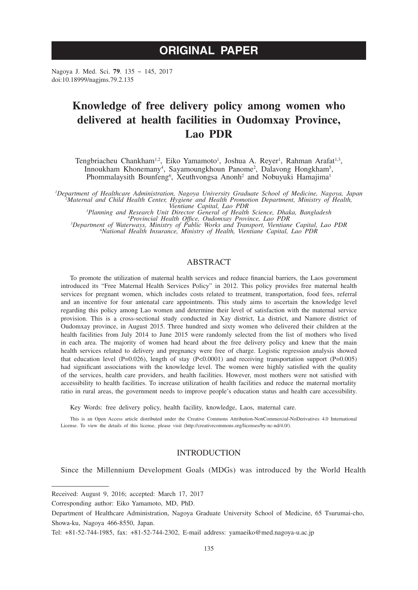# **ORIGINAL PAPER**

Nagoya J. Med. Sci. **79**. 135 ~ 145, 2017 doi:10.18999/nagjms.79.2.135

# **Knowledge of free delivery policy among women who delivered at health facilities in Oudomxay Province, Lao PDR**

Tengbriacheu Chankham<sup>1,2</sup>, Eiko Yamamoto<sup>1</sup>, Joshua A. Reyer<sup>1</sup>, Rahman Arafat<sup>1,3</sup>, Innoukham Khonemany<sup>4</sup>, Sayamoungkhoun Panome<sup>2</sup>, Dalavong Hongkham<sup>5</sup>, Phommalaysith Bounfeng<sup>6</sup>, Xeuthvongsa Anonh<sup>2</sup> and Nobuyuki Hamajima<sup>1</sup>

*1 Department of Healthcare Administration, Nagoya University Graduate School of Medicine, Nagoya, Japan <sup>2</sup> Maternal and Child Health Center, Hygiene and Health Promotion Department, Ministry of Health,*  <sup>3</sup> Planning and Research Unit Director General of Health Science, Dhaka, Bangladesh

<sup>3</sup>Planning and Research Unit Director General of Health Science, Dhaka, Bangladesh<br><sup>4</sup>Provincial Health Office, Oudomxay Province, Lao PDR<br><sup>5</sup>Department of Waterways, Ministry of Public Works and Transport, Vientiane Capi

# ABSTRACT

To promote the utilization of maternal health services and reduce financial barriers, the Laos government introduced its "Free Maternal Health Services Policy" in 2012. This policy provides free maternal health services for pregnant women, which includes costs related to treatment, transportation, food fees, referral and an incentive for four antenatal care appointments. This study aims to ascertain the knowledge level regarding this policy among Lao women and determine their level of satisfaction with the maternal service provision. This is a cross-sectional study conducted in Xay district, La district, and Namore district of Oudomxay province, in August 2015. Three hundred and sixty women who delivered their children at the health facilities from July 2014 to June 2015 were randomly selected from the list of mothers who lived in each area. The majority of women had heard about the free delivery policy and knew that the main health services related to delivery and pregnancy were free of charge. Logistic regression analysis showed that education level (P=0.026), length of stay (P<0.0001) and receiving transportation support (P=0.005) had significant associations with the knowledge level. The women were highly satisfied with the quality of the services, health care providers, and health facilities. However, most mothers were not satisfied with accessibility to health facilities. To increase utilization of health facilities and reduce the maternal mortality ratio in rural areas, the government needs to improve people's education status and health care accessibility.

Key Words: free delivery policy, health facility, knowledge, Laos, maternal care.

This is an Open Access article distributed under the Creative Commons Attribution-NonCommercial-NoDerivatives 4.0 International License. To view the details of this license, please visit (http://creativecommons.org/licenses/by-nc-nd/4.0/).

# **INTRODUCTION**

Since the Millennium Development Goals (MDGs) was introduced by the World Health

Received: August 9, 2016; accepted: March 17, 2017

Corresponding author: Eiko Yamamoto, MD, PhD.

Department of Healthcare Administration, Nagoya Graduate University School of Medicine, 65 Tsurumai-cho, Showa-ku, Nagoya 466-8550, Japan.

Tel: +81-52-744-1985, fax: +81-52-744-2302, E-mail address: yamaeiko@med.nagoya-u.ac.jp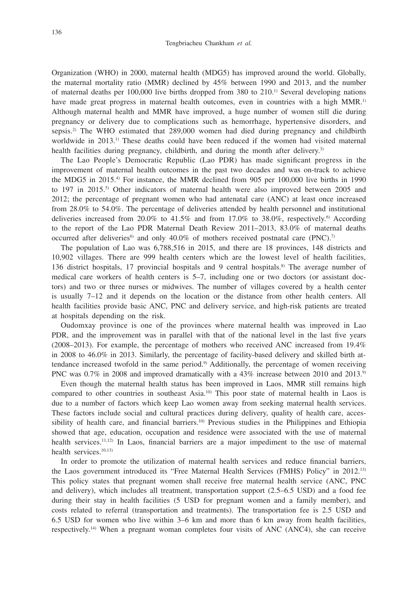Organization (WHO) in 2000, maternal health (MDG5) has improved around the world. Globally, the maternal mortality ratio (MMR) declined by 45% between 1990 and 2013, and the number of maternal deaths per 100,000 live births dropped from 380 to 210.1) Several developing nations have made great progress in maternal health outcomes, even in countries with a high MMR.<sup>1)</sup> Although maternal health and MMR have improved, a huge number of women still die during pregnancy or delivery due to complications such as hemorrhage, hypertensive disorders, and sepsis.2) The WHO estimated that 289,000 women had died during pregnancy and childbirth worldwide in 2013.1) These deaths could have been reduced if the women had visited maternal health facilities during pregnancy, childbirth, and during the month after delivery.<sup>3)</sup>

The Lao People's Democratic Republic (Lao PDR) has made significant progress in the improvement of maternal health outcomes in the past two decades and was on-track to achieve the MDG5 in 2015.4) For instance, the MMR declined from 905 per 100,000 live births in 1990 to 197 in 2015.5) Other indicators of maternal health were also improved between 2005 and 2012; the percentage of pregnant women who had antenatal care (ANC) at least once increased from 28.0% to 54.0%. The percentage of deliveries attended by health personnel and institutional deliveries increased from 20.0% to 41.5% and from 17.0% to 38.0%, respectively.<sup>6)</sup> According to the report of the Lao PDR Maternal Death Review 2011–2013, 83.0% of maternal deaths occurred after deliveries<sup>6)</sup> and only 40.0% of mothers received postnatal care (PNC).<sup>7)</sup>

The population of Lao was 6,788,516 in 2015, and there are 18 provinces, 148 districts and 10,902 villages. There are 999 health centers which are the lowest level of health facilities, 136 district hospitals, 17 provincial hospitals and 9 central hospitals.8) The average number of medical care workers of health centers is 5–7, including one or two doctors (or assistant doctors) and two or three nurses or midwives. The number of villages covered by a health center is usually 7–12 and it depends on the location or the distance from other health centers. All health facilities provide basic ANC, PNC and delivery service, and high-risk patients are treated at hospitals depending on the risk.

Oudomxay province is one of the provinces where maternal health was improved in Lao PDR, and the improvement was in parallel with that of the national level in the last five years (2008–2013). For example, the percentage of mothers who received ANC increased from 19.4% in 2008 to 46.0% in 2013. Similarly, the percentage of facility-based delivery and skilled birth attendance increased twofold in the same period.9) Additionally, the percentage of women receiving PNC was 0.7% in 2008 and improved dramatically with a 43% increase between 2010 and 2013.<sup>9)</sup>

Even though the maternal health status has been improved in Laos, MMR still remains high compared to other countries in southeast Asia.<sup>10</sup> This poor state of maternal health in Laos is due to a number of factors which keep Lao women away from seeking maternal health services. These factors include social and cultural practices during delivery, quality of health care, accessibility of health care, and financial barriers.<sup>10)</sup> Previous studies in the Philippines and Ethiopia showed that age, education, occupation and residence were associated with the use of maternal health services.<sup>11,12)</sup> In Laos, financial barriers are a major impediment to the use of maternal health services.<sup>10,13)</sup>

In order to promote the utilization of maternal health services and reduce financial barriers, the Laos government introduced its "Free Maternal Health Services (FMHS) Policy" in 2012.13) This policy states that pregnant women shall receive free maternal health service (ANC, PNC and delivery), which includes all treatment, transportation support (2.5–6.5 USD) and a food fee during their stay in health facilities (5 USD for pregnant women and a family member), and costs related to referral (transportation and treatments). The transportation fee is 2.5 USD and 6.5 USD for women who live within 3–6 km and more than 6 km away from health facilities, respectively.14) When a pregnant woman completes four visits of ANC (ANC4), she can receive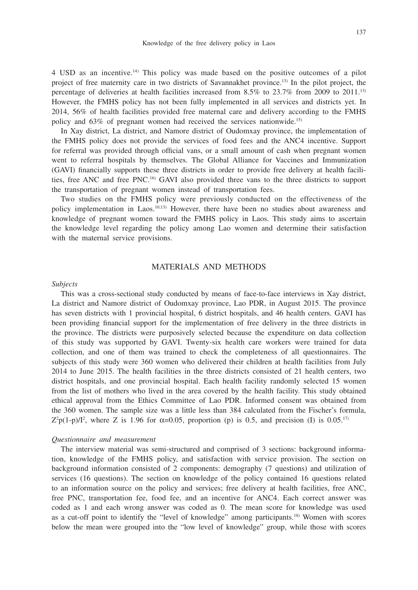4 USD as an incentive.14) This policy was made based on the positive outcomes of a pilot project of free maternity care in two districts of Savannakhet province.13) In the pilot project, the percentage of deliveries at health facilities increased from  $8.5\%$  to  $23.7\%$  from 2009 to 2011.<sup>13)</sup> However, the FMHS policy has not been fully implemented in all services and districts yet. In 2014, 56% of health facilities provided free maternal care and delivery according to the FMHS policy and 63% of pregnant women had received the services nationwide.15)

In Xay district, La district, and Namore district of Oudomxay province, the implementation of the FMHS policy does not provide the services of food fees and the ANC4 incentive. Support for referral was provided through official vans, or a small amount of cash when pregnant women went to referral hospitals by themselves. The Global Alliance for Vaccines and Immunization (GAVI) financially supports these three districts in order to provide free delivery at health facilities, free ANC and free PNC.16) GAVI also provided three vans to the three districts to support the transportation of pregnant women instead of transportation fees.

Two studies on the FMHS policy were previously conducted on the effectiveness of the policy implementation in Laos.10,13) However, there have been no studies about awareness and knowledge of pregnant women toward the FMHS policy in Laos. This study aims to ascertain the knowledge level regarding the policy among Lao women and determine their satisfaction with the maternal service provisions.

# MATERIALS AND METHODS

#### *Subjects*

This was a cross-sectional study conducted by means of face-to-face interviews in Xay district, La district and Namore district of Oudomxay province, Lao PDR, in August 2015. The province has seven districts with 1 provincial hospital, 6 district hospitals, and 46 health centers. GAVI has been providing financial support for the implementation of free delivery in the three districts in the province. The districts were purposively selected because the expenditure on data collection of this study was supported by GAVI. Twenty-six health care workers were trained for data collection, and one of them was trained to check the completeness of all questionnaires. The subjects of this study were 360 women who delivered their children at health facilities from July 2014 to June 2015. The health facilities in the three districts consisted of 21 health centers, two district hospitals, and one provincial hospital. Each health facility randomly selected 15 women from the list of mothers who lived in the area covered by the health facility. This study obtained ethical approval from the Ethics Committee of Lao PDR. Informed consent was obtained from the 360 women. The sample size was a little less than 384 calculated from the Fischer's formula,  $Z^2p(1-p)/I^2$ , where Z is 1.96 for  $\alpha=0.05$ , proportion (p) is 0.5, and precision (I) is 0.05.<sup>17</sup>

#### *Questionnaire and measurement*

The interview material was semi-structured and comprised of 3 sections: background information, knowledge of the FMHS policy, and satisfaction with service provision. The section on background information consisted of 2 components: demography (7 questions) and utilization of services (16 questions). The section on knowledge of the policy contained 16 questions related to an information source on the policy and services; free delivery at health facilities, free ANC, free PNC, transportation fee, food fee, and an incentive for ANC4. Each correct answer was coded as 1 and each wrong answer was coded as 0. The mean score for knowledge was used as a cut-off point to identify the "level of knowledge" among participants.18) Women with scores below the mean were grouped into the "low level of knowledge" group, while those with scores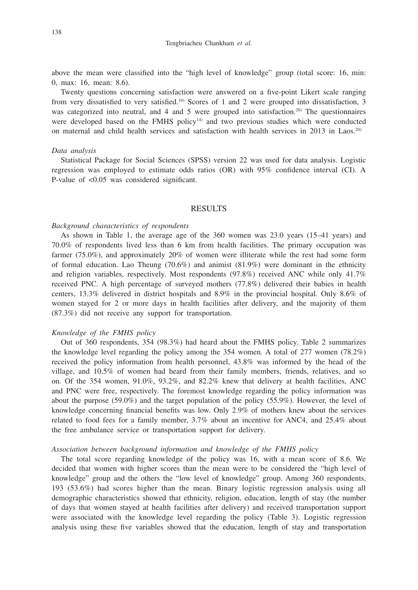above the mean were classified into the "high level of knowledge" group (total score: 16, min: 0, max: 16, mean: 8.6).

Twenty questions concerning satisfaction were answered on a five-point Likert scale ranging from very dissatisfied to very satisfied.<sup>19)</sup> Scores of 1 and 2 were grouped into dissatisfaction, 3 was categorized into neutral, and 4 and 5 were grouped into satisfaction.<sup>20)</sup> The questionnaires were developed based on the FMHS policy<sup>14)</sup> and two previous studies which were conducted on maternal and child health services and satisfaction with health services in 2013 in Laos.20)

#### *Data analysis*

Statistical Package for Social Sciences (SPSS) version 22 was used for data analysis. Logistic regression was employed to estimate odds ratios (OR) with 95% confidence interval (CI). A P-value of <0.05 was considered significant.

#### RESULTS

## *Background characteristics of respondents*

As shown in Table 1, the average age of the 360 women was 23.0 years (15–41 years) and 70.0% of respondents lived less than 6 km from health facilities. The primary occupation was farmer (75.0%), and approximately 20% of women were illiterate while the rest had some form of formal education. Lao Theung (70.6%) and animist (81.9%) were dominant in the ethnicity and religion variables, respectively. Most respondents (97.8%) received ANC while only 41.7% received PNC. A high percentage of surveyed mothers (77.8%) delivered their babies in health centers, 13.3% delivered in district hospitals and 8.9% in the provincial hospital. Only 8.6% of women stayed for 2 or more days in health facilities after delivery, and the majority of them (87.3%) did not receive any support for transportation.

## *Knowledge of the FMHS policy*

Out of 360 respondents, 354 (98.3%) had heard about the FMHS policy. Table 2 summarizes the knowledge level regarding the policy among the 354 women. A total of 277 women (78.2%) received the policy information from health personnel, 43.8% was informed by the head of the village, and 10.5% of women had heard from their family members, friends, relatives, and so on. Of the 354 women, 91.0%, 93.2%, and 82.2% knew that delivery at health facilities, ANC and PNC were free, respectively. The foremost knowledge regarding the policy information was about the purpose (59.0%) and the target population of the policy (55.9%). However, the level of knowledge concerning financial benefits was low. Only 2.9% of mothers knew about the services related to food fees for a family member, 3.7% about an incentive for ANC4, and 25.4% about the free ambulance service or transportation support for delivery.

#### *Association between background information and knowledge of the FMHS policy*

The total score regarding knowledge of the policy was 16, with a mean score of 8.6. We decided that women with higher scores than the mean were to be considered the "high level of knowledge" group and the others the "low level of knowledge" group. Among 360 respondents, 193 (53.6%) had scores higher than the mean. Binary logistic regression analysis using all demographic characteristics showed that ethnicity, religion, education, length of stay (the number of days that women stayed at health facilities after delivery) and received transportation support were associated with the knowledge level regarding the policy (Table 3). Logistic regression analysis using these five variables showed that the education, length of stay and transportation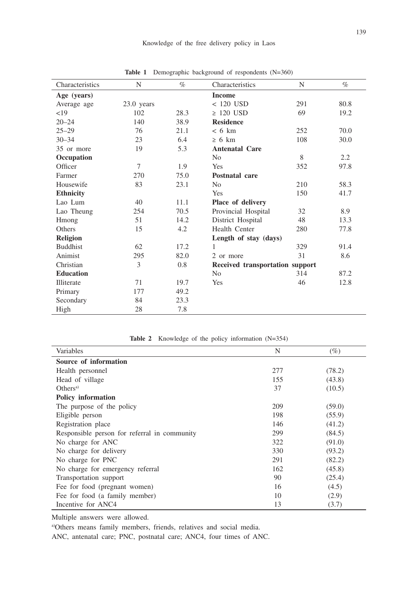| Characteristics  | N            | $\%$ | Characteristics                 | N   | $\%$ |
|------------------|--------------|------|---------------------------------|-----|------|
| Age (years)      |              |      | <b>Income</b>                   |     |      |
| Average age      | $23.0$ years |      | $< 120$ USD                     | 291 | 80.8 |
| <19              | 102          | 28.3 | $\geq 120$ USD                  | 69  | 19.2 |
| $20 - 24$        | 140          | 38.9 | <b>Residence</b>                |     |      |
| $25 - 29$        | 76           | 21.1 | $< 6 \text{ km}$                | 252 | 70.0 |
| $30 - 34$        | 23           | 6.4  | $\geq 6$ km                     | 108 | 30.0 |
| 35 or more       | 19           | 5.3  | <b>Antenatal Care</b>           |     |      |
| Occupation       |              |      | N <sub>o</sub>                  | 8   | 2.2  |
| Officer          | $\tau$       | 1.9  | Yes                             | 352 | 97.8 |
| Farmer           | 270          | 75.0 | Postnatal care                  |     |      |
| Housewife        | 83           | 23.1 | N <sub>o</sub>                  | 210 | 58.3 |
| <b>Ethnicity</b> |              |      | Yes                             | 150 | 41.7 |
| Lao Lum          | 40           | 11.1 | Place of delivery               |     |      |
| Lao Theung       | 254          | 70.5 | Provincial Hospital             | 32  | 8.9  |
| Hmong            | 51           | 14.2 | District Hospital               | 48  | 13.3 |
| Others           | 15           | 4.2  | Health Center                   | 280 | 77.8 |
| Religion         |              |      | Length of stay (days)           |     |      |
| <b>Buddhist</b>  | 62           | 17.2 | 1                               | 329 | 91.4 |
| Animist          | 295          | 82.0 | 2 or more                       | 31  | 8.6  |
| Christian        | 3            | 0.8  | Received transportation support |     |      |
| <b>Education</b> |              |      | N <sub>o</sub>                  | 314 | 87.2 |
| Illiterate       | 71           | 19.7 | Yes                             | 46  | 12.8 |
| Primary          | 177          | 49.2 |                                 |     |      |
| Secondary        | 84           | 23.3 |                                 |     |      |
| High             | 28           | 7.8  |                                 |     |      |

**Table 1** Demographic background of respondents (N=360)

| <b>Table 2</b> Knowledge of the policy information $(N=354)$ |  |  |  |  |
|--------------------------------------------------------------|--|--|--|--|
|--------------------------------------------------------------|--|--|--|--|

| Variables                                    | N   | $(\%)$ |
|----------------------------------------------|-----|--------|
| Source of information                        |     |        |
| Health personnel                             | 277 | (78.2) |
| Head of village                              | 155 | (43.8) |
| Others <sup>a</sup>                          | 37  | (10.5) |
| <b>Policy information</b>                    |     |        |
| The purpose of the policy                    | 209 | (59.0) |
| Eligible person                              | 198 | (55.9) |
| Registration place                           | 146 | (41.2) |
| Responsible person for referral in community | 299 | (84.5) |
| No charge for ANC                            | 322 | (91.0) |
| No charge for delivery                       | 330 | (93.2) |
| No charge for PNC                            | 291 | (82.2) |
| No charge for emergency referral             | 162 | (45.8) |
| Transportation support                       | 90  | (25.4) |
| Fee for food (pregnant women)                | 16  | (4.5)  |
| Fee for food (a family member)               | 10  | (2.9)  |
| Incentive for ANC4                           | 13  | (3.7)  |

Multiple answers were allowed.

a)Others means family members, friends, relatives and social media.

ANC, antenatal care; PNC, postnatal care; ANC4, four times of ANC.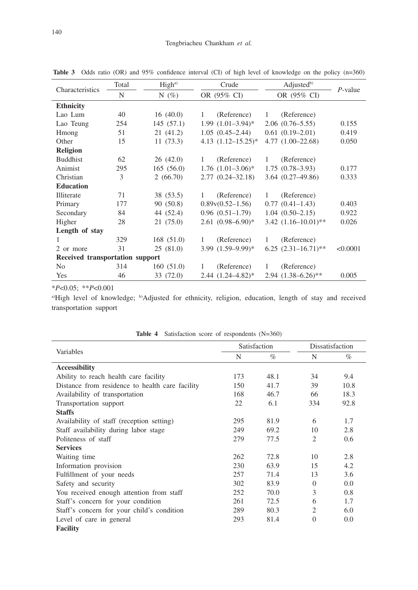| Characteristics                 | Total | High <sup>a</sup> | Crude                    | Adjusted <sup>b)</sup>      | $P$ -value |  |
|---------------------------------|-------|-------------------|--------------------------|-----------------------------|------------|--|
|                                 | N     | N $(\%)$          | OR (95% CI)              | OR (95% CI)                 |            |  |
| <b>Ethnicity</b>                |       |                   |                          |                             |            |  |
| Lao Lum                         | 40    | 16(40.0)          | (Reference)<br>1         | (Reference)<br>$\mathbf{1}$ |            |  |
| Lao Teung                       | 254   | 145(57.1)         | $1.99(1.01-3.94)$ *      | $2.06(0.76-5.55)$           | 0.155      |  |
| Hmong                           | 51    | 21(41.2)          | $1.05(0.45-2.44)$        | $0.61(0.19-2.01)$           | 0.419      |  |
| Other                           | 15    | 11(73.3)          | 4.13 $(1.12 - 15.25)^*$  | $4.77(1.00-22.68)$          | 0.050      |  |
| <b>Religion</b>                 |       |                   |                          |                             |            |  |
| <b>Buddhist</b>                 | 62    | 26(42.0)          | (Reference)<br>1         | (Reference)<br>1            |            |  |
| Animist                         | 295   | 165(56.0)         | $1.76$ $(1.01-3.06)^*$   | $1.75(0.78-3.93)$           | 0.177      |  |
| Christian                       | 3     | 2(66.70)          | $2.77(0.24 - 32.18)$     | $3.64(0.27-49.86)$          | 0.333      |  |
| <b>Education</b>                |       |                   |                          |                             |            |  |
| Illiterate                      | 71    | 38 (53.5)         | (Reference)<br>1         | (Reference)<br>1            |            |  |
| Primary                         | 177   | 90(50.8)          | $0.89v(0.52-1.56)$       | $0.77(0.41-1.43)$           | 0.403      |  |
| Secondary                       | 84    | 44 (52.4)         | $0.96(0.51-1.79)$        | $1.04(0.50-2.15)$           | 0.922      |  |
| Higher                          | 28    | 21(75.0)          | $2.61 (0.98 - 6.90)^*$   | $3.42$ $(1.16 - 10.01)$ **  | 0.026      |  |
| Length of stay                  |       |                   |                          |                             |            |  |
|                                 | 329   | 168 (51.0)        | (Reference)<br>1         | (Reference)<br>1            |            |  |
| 2 or more                       | 31    | 25(81.0)          | $3.99$ $(1.59 - 9.99)^*$ | $6.25$ $(2.31-16.71)$ **    | < 0.0001   |  |
| Received transportation support |       |                   |                          |                             |            |  |
| No                              | 314   | 160(51.0)         | (Reference)<br>1.        | (Reference)<br>1            |            |  |
| <b>Yes</b>                      | 46    | 33 (72.0)         | $2.44(1.24 - 4.82)^*$    | $2.94$ $(1.38 - 6.26)$ **   | 0.005      |  |

**Table 3** Odds ratio (OR) and 95% confidence interval (CI) of high level of knowledge on the policy (n=360)

\**P*<0.05; \*\**P*<0.001

a)High level of knowledge; <sup>b)</sup>Adjusted for ethnicity, religion, education, length of stay and received transportation support

|                                                 | Satisfaction |      | Dissatisfaction |      |
|-------------------------------------------------|--------------|------|-----------------|------|
| Variables                                       | N            | $\%$ | N               | $\%$ |
| <b>Accessibility</b>                            |              |      |                 |      |
| Ability to reach health care facility           | 173          | 48.1 | 34              | 9.4  |
| Distance from residence to health care facility | 150          | 41.7 | 39              | 10.8 |
| Availability of transportation                  | 168          | 46.7 | 66              | 18.3 |
| Transportation support                          | 22           | 6.1  | 334             | 92.8 |
| <b>Staffs</b>                                   |              |      |                 |      |
| Availability of staff (reception setting)       | 295          | 81.9 | 6               | 1.7  |
| Staff availability during labor stage           | 249          | 69.2 | 10              | 2.8  |
| Politeness of staff                             | 279          | 77.5 | $\overline{2}$  | 0.6  |
| <b>Services</b>                                 |              |      |                 |      |
| Waiting time                                    | 262          | 72.8 | 10              | 2.8  |
| Information provision                           | 230          | 63.9 | 15              | 4.2  |
| Fulfillment of your needs                       | 257          | 71.4 | 13              | 3.6  |
| Safety and security                             | 302          | 83.9 | $\Omega$        | 0.0  |
| You received enough attention from staff        | 252          | 70.0 | 3               | 0.8  |
| Staff's concern for your condition              | 261          | 72.5 | 6               | 1.7  |
| Staff's concern for your child's condition      | 289          | 80.3 | $\overline{c}$  | 6.0  |
| Level of care in general                        | 293          | 81.4 | $\theta$        | 0.0  |
| <b>Facility</b>                                 |              |      |                 |      |

**Table 4** Satisfaction score of respondents (N=360)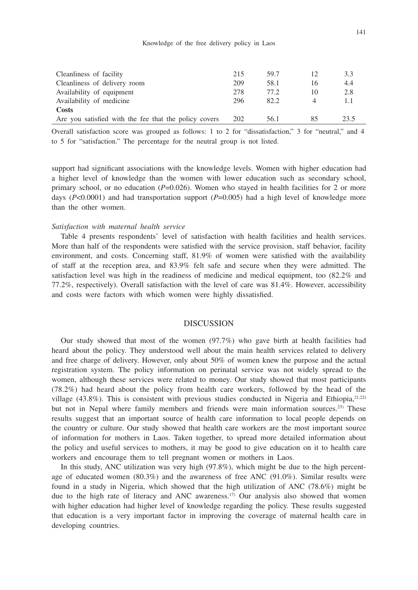#### Knowledge of the free delivery policy in Laos

| Cleanliness of facility                               | 215 | 59.7 |    | 3.3  |
|-------------------------------------------------------|-----|------|----|------|
| Cleanliness of delivery room                          | 209 | 58.1 | 16 | 4.4  |
| Availability of equipment                             | 278 | 77.2 | 10 | 2.8  |
| Availability of medicine                              | 296 | 82.2 |    |      |
| Costs                                                 |     |      |    |      |
| Are you satisfied with the fee that the policy covers | 202 | 56.1 |    | 23.5 |

Overall satisfaction score was grouped as follows: 1 to 2 for "dissatisfaction," 3 for "neutral," and 4 to 5 for "satisfaction." The percentage for the neutral group is not listed.

support had significant associations with the knowledge levels. Women with higher education had a higher level of knowledge than the women with lower education such as secondary school, primary school, or no education (*P*=0.026). Women who stayed in health facilities for 2 or more days (*P*<0.0001) and had transportation support (*P*=0.005) had a high level of knowledge more than the other women.

## *Satisfaction with maternal health service*

Table 4 presents respondents' level of satisfaction with health facilities and health services. More than half of the respondents were satisfied with the service provision, staff behavior, facility environment, and costs. Concerning staff, 81.9% of women were satisfied with the availability of staff at the reception area, and 83.9% felt safe and secure when they were admitted. The satisfaction level was high in the readiness of medicine and medical equipment, too (82.2% and 77.2%, respectively). Overall satisfaction with the level of care was 81.4%. However, accessibility and costs were factors with which women were highly dissatisfied.

#### DISCUSSION

Our study showed that most of the women (97.7%) who gave birth at health facilities had heard about the policy. They understood well about the main health services related to delivery and free charge of delivery. However, only about 50% of women knew the purpose and the actual registration system. The policy information on perinatal service was not widely spread to the women, although these services were related to money. Our study showed that most participants (78.2%) had heard about the policy from health care workers, followed by the head of the village  $(43.8\%)$ . This is consistent with previous studies conducted in Nigeria and Ethiopia, $2^{1,22}$ but not in Nepal where family members and friends were main information sources.<sup>23)</sup> These results suggest that an important source of health care information to local people depends on the country or culture. Our study showed that health care workers are the most important source of information for mothers in Laos. Taken together, to spread more detailed information about the policy and useful services to mothers, it may be good to give education on it to health care workers and encourage them to tell pregnant women or mothers in Laos.

In this study, ANC utilization was very high (97.8%), which might be due to the high percentage of educated women (80.3%) and the awareness of free ANC (91.0%). Similar results were found in a study in Nigeria, which showed that the high utilization of ANC (78.6%) might be due to the high rate of literacy and ANC awareness.<sup>17)</sup> Our analysis also showed that women with higher education had higher level of knowledge regarding the policy. These results suggested that education is a very important factor in improving the coverage of maternal health care in developing countries.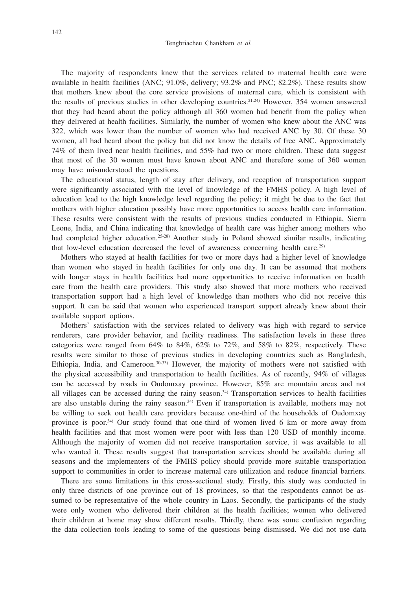The majority of respondents knew that the services related to maternal health care were available in health facilities (ANC; 91.0%, delivery; 93.2% and PNC; 82.2%). These results show that mothers knew about the core service provisions of maternal care, which is consistent with the results of previous studies in other developing countries.21,24) However, 354 women answered that they had heard about the policy although all 360 women had benefit from the policy when they delivered at health facilities. Similarly, the number of women who knew about the ANC was 322, which was lower than the number of women who had received ANC by 30. Of these 30 women, all had heard about the policy but did not know the details of free ANC. Approximately 74% of them lived near health facilities, and 55% had two or more children. These data suggest that most of the 30 women must have known about ANC and therefore some of 360 women may have misunderstood the questions.

The educational status, length of stay after delivery, and reception of transportation support were significantly associated with the level of knowledge of the FMHS policy. A high level of education lead to the high knowledge level regarding the policy; it might be due to the fact that mothers with higher education possibly have more opportunities to access health care information. These results were consistent with the results of previous studies conducted in Ethiopia, Sierra Leone, India, and China indicating that knowledge of health care was higher among mothers who had completed higher education.<sup>25-28)</sup> Another study in Poland showed similar results, indicating that low-level education decreased the level of awareness concerning health care.29)

Mothers who stayed at health facilities for two or more days had a higher level of knowledge than women who stayed in health facilities for only one day. It can be assumed that mothers with longer stays in health facilities had more opportunities to receive information on health care from the health care providers. This study also showed that more mothers who received transportation support had a high level of knowledge than mothers who did not receive this support. It can be said that women who experienced transport support already knew about their available support options.

Mothers' satisfaction with the services related to delivery was high with regard to service renderers, care provider behavior, and facility readiness. The satisfaction levels in these three categories were ranged from  $64\%$  to  $84\%, 62\%$  to  $72\%$ , and  $58\%$  to  $82\%$ , respectively. These results were similar to those of previous studies in developing countries such as Bangladesh, Ethiopia, India, and Cameroon. $30-33$  However, the majority of mothers were not satisfied with the physical accessibility and transportation to health facilities. As of recently, 94% of villages can be accessed by roads in Oudomxay province. However, 85% are mountain areas and not all villages can be accessed during the rainy season.34) Transportation services to health facilities are also unstable during the rainy season. $34$  Even if transportation is available, mothers may not be willing to seek out health care providers because one-third of the households of Oudomxay province is poor.34) Our study found that one-third of women lived 6 km or more away from health facilities and that most women were poor with less than 120 USD of monthly income. Although the majority of women did not receive transportation service, it was available to all who wanted it. These results suggest that transportation services should be available during all seasons and the implementers of the FMHS policy should provide more suitable transportation support to communities in order to increase maternal care utilization and reduce financial barriers.

There are some limitations in this cross-sectional study. Firstly, this study was conducted in only three districts of one province out of 18 provinces, so that the respondents cannot be assumed to be representative of the whole country in Laos. Secondly, the participants of the study were only women who delivered their children at the health facilities; women who delivered their children at home may show different results. Thirdly, there was some confusion regarding the data collection tools leading to some of the questions being dismissed. We did not use data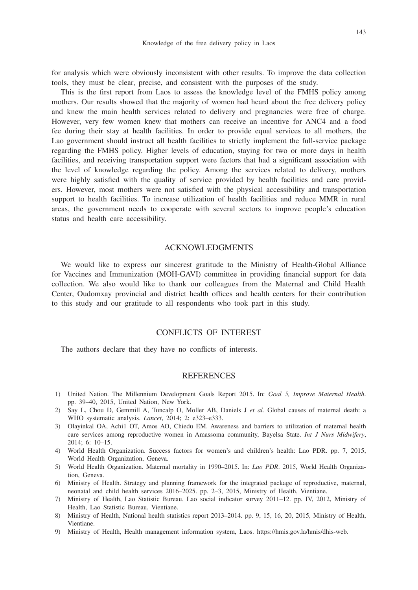for analysis which were obviously inconsistent with other results. To improve the data collection tools, they must be clear, precise, and consistent with the purposes of the study.

This is the first report from Laos to assess the knowledge level of the FMHS policy among mothers. Our results showed that the majority of women had heard about the free delivery policy and knew the main health services related to delivery and pregnancies were free of charge. However, very few women knew that mothers can receive an incentive for ANC4 and a food fee during their stay at health facilities. In order to provide equal services to all mothers, the Lao government should instruct all health facilities to strictly implement the full-service package regarding the FMHS policy. Higher levels of education, staying for two or more days in health facilities, and receiving transportation support were factors that had a significant association with the level of knowledge regarding the policy. Among the services related to delivery, mothers were highly satisfied with the quality of service provided by health facilities and care providers. However, most mothers were not satisfied with the physical accessibility and transportation support to health facilities. To increase utilization of health facilities and reduce MMR in rural areas, the government needs to cooperate with several sectors to improve people's education status and health care accessibility.

## ACKNOWLEDGMENTS

We would like to express our sincerest gratitude to the Ministry of Health-Global Alliance for Vaccines and Immunization (MOH-GAVI) committee in providing financial support for data collection. We also would like to thank our colleagues from the Maternal and Child Health Center, Oudomxay provincial and district health offices and health centers for their contribution to this study and our gratitude to all respondents who took part in this study.

# CONFLICTS OF INTEREST

The authors declare that they have no conflicts of interests.

#### **REFERENCES**

- 1) United Nation. The Millennium Development Goals Report 2015. In: *Goal 5, Improve Maternal Health*. pp. 39–40, 2015, United Nation, New York.
- 2) Say L, Chou D, Gemmill A, Tuncalp O, Moller AB, Daniels J *et al.* Global causes of maternal death: a WHO systematic analysis. *Lancet*, 2014; 2: e323–e333.
- 3) Olayinkal OA, Achi1 OT, Amos AO, Chiedu EM. Awareness and barriers to utilization of maternal health care services among reproductive women in Amassoma community, Bayelsa State. *Int J Nurs Midwifery*, 2014; 6: 10–15.
- 4) World Health Organization. Success factors for women's and children's health: Lao PDR. pp. 7, 2015, World Health Organization, Geneva.
- 5) World Health Organization. Maternal mortality in 1990–2015. In: *Lao PDR*. 2015, World Health Organization, Geneva.
- 6) Ministry of Health. Strategy and planning framework for the integrated package of reproductive, maternal, neonatal and child health services 2016–2025. pp. 2–3, 2015, Ministry of Health, Vientiane.
- 7) Ministry of Health, Lao Statistic Bureau. Lao social indicator survey 2011–12. pp. IV, 2012, Ministry of Health, Lao Statistic Bureau, Vientiane.
- 8) Ministry of Health, National health statistics report 2013–2014. pp. 9, 15, 16, 20, 2015, Ministry of Health, Vientiane.
- 9) Ministry of Health, Health management information system, Laos. https://hmis.gov.la/hmis/dhis-web.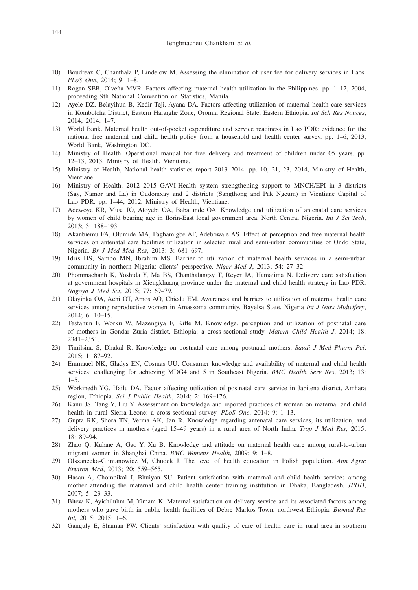- 10) Boudreax C, Chanthala P, Lindelow M. Assessing the elimination of user fee for delivery services in Laos. *PLoS One*, 2014; 9: 1–8.
- 11) Rogan SEB, Olveña MVR. Factors affecting maternal health utilization in the Philippines. pp. 1–12, 2004, proceeding 9th National Convention on Statistics, Manila.
- 12) Ayele DZ, Belayihun B, Kedir Teji, Ayana DA. Factors affecting utilization of maternal health care services in Kombolcha District, Eastern Hararghe Zone, Oromia Regional State, Eastern Ethiopia. *Int Sch Res Notices*, 2014; 2014: 1–7.
- 13) World Bank. Maternal health out-of-pocket expenditure and service readiness in Lao PDR: evidence for the national free maternal and child health policy from a household and health center survey. pp. 1–6, 2013, World Bank, Washington DC.
- 14) Ministry of Health. Operational manual for free delivery and treatment of children under 05 years. pp. 12–13, 2013, Ministry of Health, Vientiane.
- 15) Ministry of Health, National health statistics report 2013–2014. pp. 10, 21, 23, 2014, Ministry of Health, Vientiane.
- 16) Ministry of Health. 2012–2015 GAVI-Health system strengthening support to MNCH/EPI in 3 districts (Say, Namor and La) in Oudomxay and 2 districts (Sangthong and Pak Ngeum) in Vientiane Capital of Lao PDR. pp. 1–44, 2012, Ministry of Health, Vientiane.
- 17) Adewoye KR, Musa IO, Atoyebi OA, Babatunde OA. Knowledge and utilization of antenatal care services by women of child bearing age in Ilorin-East local government area, North Central Nigeria. *Int J Sci Tech*, 2013; 3: 188–193.
- 18) Akanbiemu FA, Olumide MA, Fagbamigbe AF, Adebowale AS. Effect of perception and free maternal health services on antenatal care facilities utilization in selected rural and semi-urban communities of Ondo State, Nigeria. *Br J Med Med Res*, 2013; 3: 681–697.
- 19) Idris HS, Sambo MN, Ibrahim MS. Barrier to utilization of maternal health services in a semi-urban community in northern Nigeria: clients' perspective. *Niger Med J*, 2013; 54: 27–32.
- 20) Phommachanh K, Yoshida Y, Ma BS, Chanthalangsy T, Reyer JA, Hamajima N. Delivery care satisfaction at government hospitals in Xiengkhuang province under the maternal and child health strategy in Lao PDR. *Nagoya J Med Sci*, 2015; 77: 69–79.
- 21) Olayinka OA, Achi OT, Amos AO, Chiedu EM. Awareness and barriers to utilization of maternal health care services among reproductive women in Amassoma community, Bayelsa State, Nigeria *Int J Nurs Midwifery*, 2014; 6: 10–15.
- 22) Tesfahun F, Worku W, Mazengiya F, Kifle M. Knowledge, perception and utilization of postnatal care of mothers in Gondar Zuria district, Ethiopia: a cross-sectional study. *Matern Child Health J*, 2014; 18: 2341–2351.
- 23) Timilsina S, Dhakal R. Knowledge on postnatal care among postnatal mothers. *Saudi J Med Pharm Pci*, 2015; 1: 87–92.
- 24) Emmauel NK, Gladys EN, Cosmas UU. Consumer knowledge and availability of maternal and child health services: challenging for achieving MDG4 and 5 in Southeast Nigeria. *BMC Health Serv Res*, 2013; 13: 1–5.
- 25) Workinedh YG, Hailu DA. Factor affecting utilization of postnatal care service in Jabitena district, Amhara region, Ethiopia. *Sci J Public Health*, 2014; 2: 169–176.
- 26) Kanu JS, Tang Y, Liu Y. Assessment on knowledge and reported practices of women on maternal and child health in rural Sierra Leone: a cross-sectional survey. *PLoS One*, 2014; 9: 1–13.
- 27) Gupta RK, Shora TN, Verma AK, Jan R. Knowledge regarding antenatal care services, its utilization, and delivery practices in mothers (aged 15–49 years) in a rural area of North India. *Trop J Med Res*, 2015; 18: 89–94.
- 28) Zhao Q, Kulane A, Gao Y, Xu B. Knowledge and attitude on maternal health care among rural-to-urban migrant women in Shanghai China. *BMC Womens Health*, 2009; 9: 1–8.
- 29) Olszanecka-Glinianowicz M, Chudek J. The level of health education in Polish population. *Ann Agric Environ Med*, 2013; 20: 559–565.
- 30) Hasan A, Chompikol J, Bhuiyan SU. Patient satisfaction with maternal and child health services among mother attending the maternal and child health center training institution in Dhaka, Bangladesh. *JPHD*, 2007; 5: 23–33.
- 31) Bitew K, Ayichiluhm M, Yimam K. Maternal satisfaction on delivery service and its associated factors among mothers who gave birth in public health facilities of Debre Markos Town, northwest Ethiopia. *Biomed Res Int*, 2015; 2015: 1–6.
- 32) Ganguly E, Shaman PW. Clients' satisfaction with quality of care of health care in rural area in southern